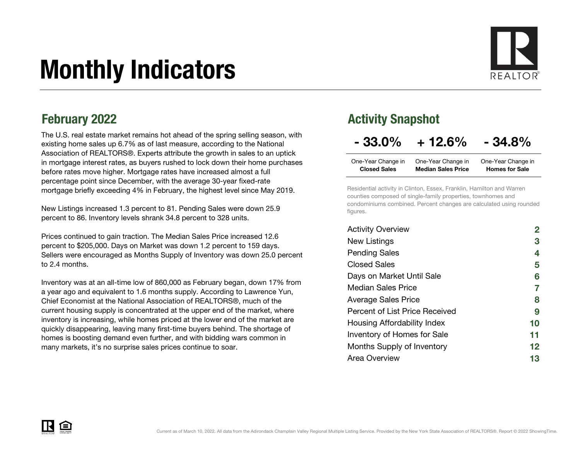# Monthly Indicators

The U.S. real estate market remains hot ahead of the spring selling season, with existing home sales up 6.7% as of last measure, according to the National Association of REALTORS®. Experts attribute the growth in sales to an uptick in mortgage interest rates, as buyers rushed to lock down their home purchases before rates move higher. Mortgage rates have increased almost a full percentage point since December, with the average 30-year fixed-rate mortgage briefly exceeding 4% in February, the highest level since May 2019.

New Listings increased 1.3 percent to 81. Pending Sales were down 25.9 percent to 86. Inventory levels shrank 34.8 percent to 328 units.

Prices continued to gain traction. The Median Sales Price increased 12.6 percent to \$205,000. Days on Market was down 1.2 percent to 159 days. Sellers were encouraged as Months Supply of Inventory was down 25.0 percent to 2.4 months.

Inventory was at an all-time low of 860,000 as February began, down 17% from a year ago and equivalent to 1.6 months supply. According to Lawrence Yun, Chief Economist at the National Association of REALTORS®, much of the current housing supply is concentrated at the upper end of the market, where inventory is increasing, while homes priced at the lower end of the market are quickly disappearing, leaving many first-time buyers behind. The shortage of homes is boosting demand even further, and with bidding wars common in many markets, it's no surprise sales prices continue to soar.

### February 2022 **Activity Snapshot**

#### $-33.0\% + 12.6\% - 34.8\%$

| One-Year Change in  | One-Year Change in        | One-Year Change in    |
|---------------------|---------------------------|-----------------------|
| <b>Closed Sales</b> | <b>Median Sales Price</b> | <b>Homes for Sale</b> |

Residential activity in Clinton, Essex, Franklin, Hamilton and Warren counties composed of single-family properties, townhomes and condominiums combined. Percent changes are calculated using rounded figures.

| <b>Activity Overview</b>       |    |
|--------------------------------|----|
| New Listings                   | 3  |
| <b>Pending Sales</b>           | 4  |
| <b>Closed Sales</b>            | 5  |
| Days on Market Until Sale      | 6  |
| <b>Median Sales Price</b>      | 7  |
| <b>Average Sales Price</b>     | 8  |
| Percent of List Price Received | 9  |
| Housing Affordability Index    | 10 |
| Inventory of Homes for Sale    | 11 |
| Months Supply of Inventory     | 12 |
| Area Overview                  | 13 |

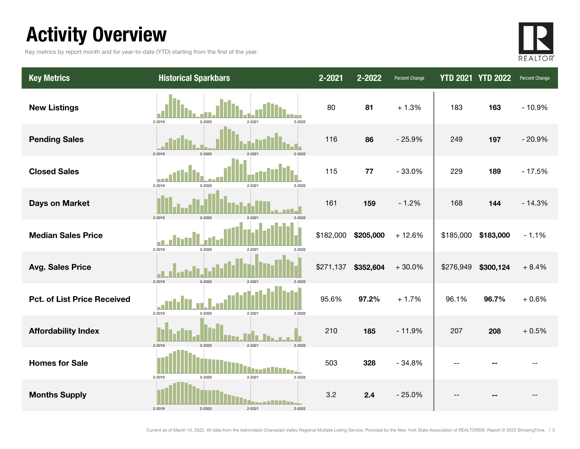### Activity Overview

Key metrics by report month and for year-to-date (YTD) starting from the first of the year.



| <b>Key Metrics</b>                 | <b>Historical Sparkbars</b>                                       | 2-2021    | 2-2022    | Percent Change |           | <b>YTD 2021 YTD 2022</b> | Percent Change |
|------------------------------------|-------------------------------------------------------------------|-----------|-----------|----------------|-----------|--------------------------|----------------|
| <b>New Listings</b>                | 2-2022<br>2-2019<br>$2 - 2020$<br>2-2021                          | 80        | 81        | $+1.3%$        | 183       | 163                      | $-10.9%$       |
| <b>Pending Sales</b>               | 2-2019<br>2-2020<br>$2 - 202$                                     | 116       | 86        | $-25.9%$       | 249       | 197                      | $-20.9%$       |
| <b>Closed Sales</b>                | 2-2019<br>2-2020<br>2-2021<br>2-2022                              | 115       | 77        | $-33.0%$       | 229       | 189                      | $-17.5%$       |
| <b>Days on Market</b>              | 2-2019<br>$2 - 2020$<br>$2 - 202$                                 | 161       | 159       | $-1.2%$        | 168       | 144                      | $-14.3%$       |
| <b>Median Sales Price</b>          | 2-2019<br>2-2020<br>$2 - 2021$<br>2-2022                          | \$182,000 | \$205,000 | $+12.6%$       | \$185,000 | \$183,000                | $-1.1%$        |
| <b>Avg. Sales Price</b>            | 2-2019<br>$2 - 2020$<br>2-2021<br>2-2022                          | \$271,137 | \$352,604 | $+30.0%$       | \$276,949 | \$300,124                | $+8.4%$        |
| <b>Pct. of List Price Received</b> | 2-2019<br>2-2020<br>2-2021<br>2-2022                              | 95.6%     | 97.2%     | $+1.7%$        | 96.1%     | 96.7%                    | $+0.6%$        |
| <b>Affordability Index</b>         | $2 - 2020$<br>$2 - 2021$<br>2-2022<br>2-2019                      | 210       | 185       | $-11.9%$       | 207       | 208                      | $+0.5%$        |
| <b>Homes for Sale</b>              | 2-2019<br>2-2020<br>$2 - 2021$<br>2-2022                          | 503       | 328       | $-34.8%$       |           |                          |                |
| <b>Months Supply</b>               | --- <b>------</b> ---<br>2-2019<br>2-2020<br>$2 - 2021$<br>2-2022 | 3.2       | 2.4       | $-25.0%$       |           |                          |                |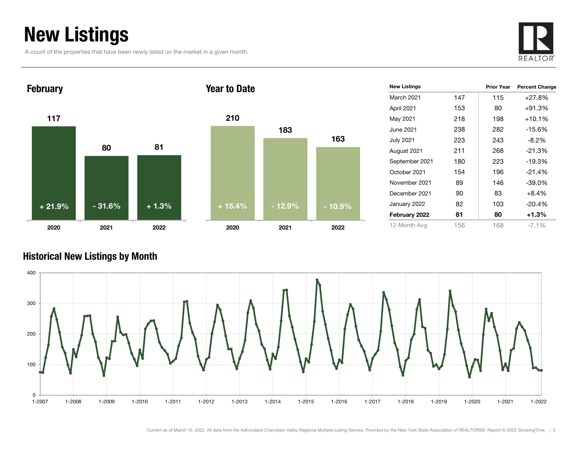### New Listings

A count of the properties that have been newly listed on the market in a given month.







| <b>New Listings</b> |     | Prior Year | <b>Percent Change</b> |
|---------------------|-----|------------|-----------------------|
| <b>March 2021</b>   | 147 | 115        | $+27.8%$              |
| April 2021          | 153 | 80         | $+91.3%$              |
| May 2021            | 218 | 198        | $+10.1%$              |
| June 2021           | 238 | 282        | $-15.6%$              |
| July 2021           | 223 | 243        | $-8.2\%$              |
| August 2021         | 211 | 268        | $-21.3%$              |
| September 2021      | 180 | 223        | $-19.3%$              |
| October 2021        | 154 | 196        | $-21.4%$              |
| November 2021       | 89  | 146        | $-39.0\%$             |
| December 2021       | 90  | 83         | $+8.4%$               |
| January 2022        | 82  | 103        | $-20.4%$              |
| February 2022       | 81  | 80         | +1.3%                 |
| 12-Month Avg        | 156 | 168        | $-7.1\%$              |

#### Historical New Listings by Month

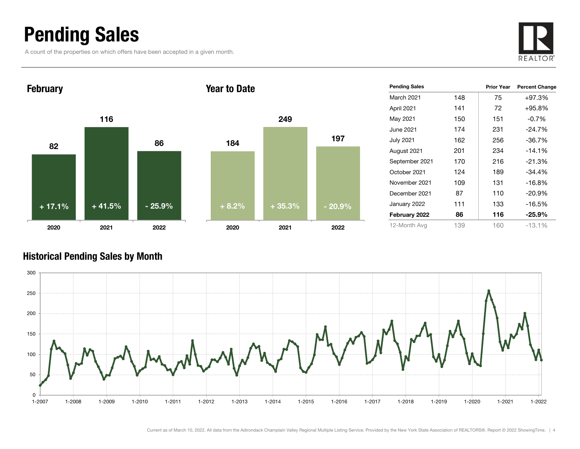### Pending Sales

A count of the properties on which offers have been accepted in a given month.





#### Historical Pending Sales by Month

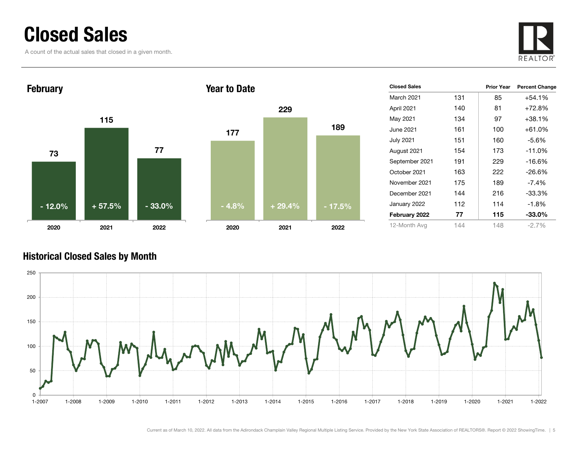### Closed Sales

A count of the actual sales that closed in a given month.





| <b>Closed Sales</b> |     | <b>Prior Year</b> | <b>Percent Change</b> |
|---------------------|-----|-------------------|-----------------------|
| <b>March 2021</b>   | 131 | 85                | +54.1%                |
| April 2021          | 140 | 81                | $+72.8%$              |
| May 2021            | 134 | 97                | +38.1%                |
| June 2021           | 161 | 100               | +61.0%                |
| <b>July 2021</b>    | 151 | 160               | $-5.6%$               |
| August 2021         | 154 | 173               | $-11.0\%$             |
| September 2021      | 191 | 229               | -16.6%                |
| October 2021        | 163 | 222               | $-26.6\%$             |
| November 2021       | 175 | 189               | $-7.4\%$              |
| December 2021       | 144 | 216               | $-33.3\%$             |
| January 2022        | 112 | 114               | $-1.8%$               |
| February 2022       | 77  | 115               | $-33.0\%$             |
| 12-Month Avg        | 144 | 148               | -2.7%                 |

#### Historical Closed Sales by Month

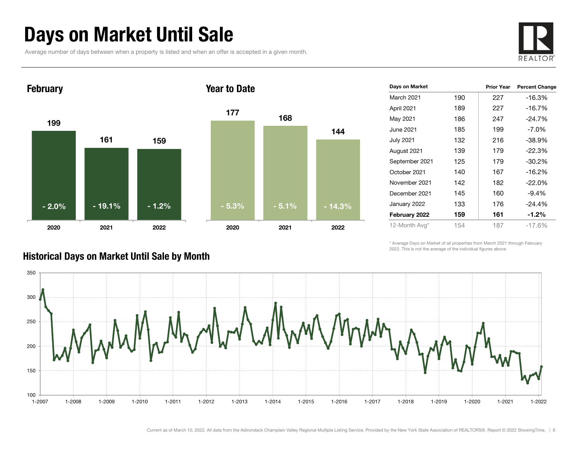### Days on Market Until Sale

Average number of days between when a property is listed and when an offer is accepted in a given month.





| Days on Market |     | <b>Prior Year</b> | <b>Percent Change</b> |
|----------------|-----|-------------------|-----------------------|
| March 2021     | 190 | 227               | $-16.3%$              |
| April 2021     | 189 | 227               | $-16.7%$              |
| May 2021       | 186 | 247               | $-24.7%$              |
| June 2021      | 185 | 199               | $-7.0\%$              |
| July 2021      | 132 | 216               | $-38.9%$              |
| August 2021    | 139 | 179               | $-22.3%$              |
| September 2021 | 125 | 179               | $-30.2\%$             |
| October 2021   | 140 | 167               | $-16.2%$              |
| November 2021  | 142 | 182               | $-22.0%$              |
| December 2021  | 145 | 160               | $-9.4%$               |
| January 2022   | 133 | 176               | $-24.4%$              |
| February 2022  | 159 | 161               | $-1.2\%$              |
| 12-Month Avg*  | 154 | 187               | $-17.6\%$             |

\* Average Days on Market of all properties from March 2021 through February 2022. This is not the average of the individual figures above.



#### Historical Days on Market Until Sale by Month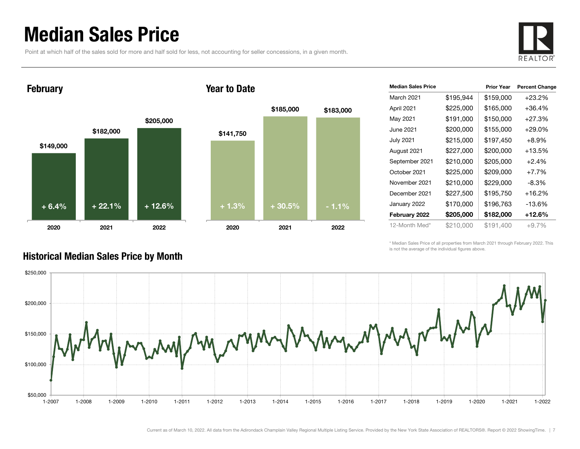### Median Sales Price

Point at which half of the sales sold for more and half sold for less, not accounting for seller concessions, in a given month.



#### February





| <b>Median Sales Price</b> |           | <b>Prior Year</b> | <b>Percent Change</b> |
|---------------------------|-----------|-------------------|-----------------------|
| March 2021                | \$195,944 | \$159,000         | $+23.2%$              |
| April 2021                | \$225,000 | \$165,000         | $+36.4%$              |
| May 2021                  | \$191,000 | \$150,000         | $+27.3%$              |
| June 2021                 | \$200,000 | \$155,000         | $+29.0%$              |
| <b>July 2021</b>          | \$215,000 | \$197,450         | $+8.9%$               |
| August 2021               | \$227,000 | \$200,000         | +13.5%                |
| September 2021            | \$210,000 | \$205,000         | $+2.4%$               |
| October 2021              | \$225,000 | \$209,000         | $+7.7%$               |
| November 2021             | \$210,000 | \$229,000         | -8.3%                 |
| December 2021             | \$227,500 | \$195,750         | $+16.2%$              |
| January 2022              | \$170,000 | \$196,763         | -13.6%                |
| February 2022             | \$205,000 | \$182,000         | $+12.6%$              |
| 12-Month Med*             | \$210.000 | \$191.400         | $+9.7%$               |

\* Median Sales Price of all properties from March 2021 through February 2022. This is not the average of the individual figures above.



#### Historical Median Sales Price by Month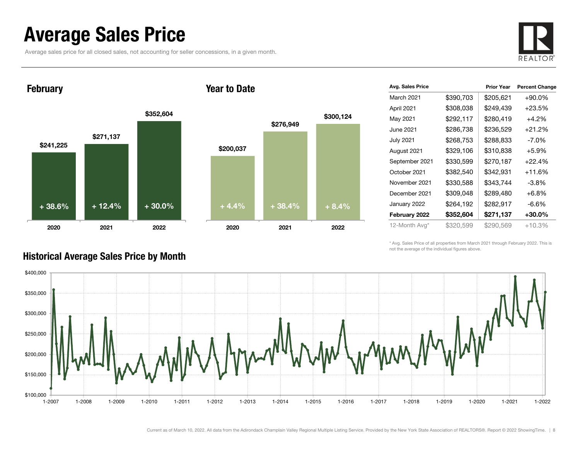### Average Sales Price

Historical Average Sales Price by Month

Average sales price for all closed sales, not accounting for seller concessions, in a given month.



**February** 

#### Year to Date



| Avg. Sales Price |           | <b>Prior Year</b> | <b>Percent Change</b> |
|------------------|-----------|-------------------|-----------------------|
| March 2021       | \$390,703 | \$205,621         | +90.0%                |
| April 2021       | \$308,038 | \$249,439         | $+23.5%$              |
| May 2021         | \$292,117 | \$280,419         | $+4.2%$               |
| June 2021        | \$286,738 | \$236,529         | $+21.2%$              |
| <b>July 2021</b> | \$268,753 | \$288,833         | -7.0%                 |
| August 2021      | \$329,106 | \$310,838         | $+5.9%$               |
| September 2021   | \$330,599 | \$270,187         | $+22.4%$              |
| October 2021     | \$382,540 | \$342,931         | $+11.6%$              |
| November 2021    | \$330,588 | \$343,744         | $-3.8%$               |
| December 2021    | \$309,048 | \$289,480         | $+6.8%$               |
| January 2022     | \$264,192 | \$282,917         | $-6.6%$               |
| February 2022    | \$352,604 | \$271,137         | +30.0%                |
| 12-Month Avg*    | \$320,599 | \$290,569         | $+10.3%$              |

\* Avg. Sales Price of all properties from March 2021 through February 2022. This is not the average of the individual figures above.



Current as of March 10, 2022. All data from the Adirondack Champlain Valley Regional Multiple Listing Service. Provided by the New York State Association of REALTORS®. Report © 2022 ShowingTime. | 8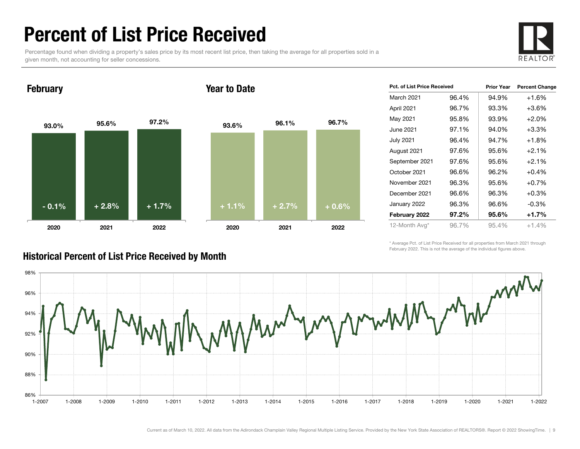### Percent of List Price Received

Percentage found when dividing a property's sales price by its most recent list price, then taking the average for all properties sold in a given month, not accounting for seller concessions.



February

#### Year to Date



| Pct. of List Price Received |       | <b>Prior Year</b> | <b>Percent Change</b> |
|-----------------------------|-------|-------------------|-----------------------|
| March 2021                  | 96.4% | 94.9%             | $+1.6%$               |
| April 2021                  | 96.7% | 93.3%             | $+3.6%$               |
| May 2021                    | 95.8% | 93.9%             | $+2.0%$               |
| June 2021                   | 97.1% | 94.0%             | $+3.3\%$              |
| July 2021                   | 96.4% | 94.7%             | $+1.8%$               |
| August 2021                 | 97.6% | 95.6%             | $+2.1%$               |
| September 2021              | 97.6% | 95.6%             | $+2.1%$               |
| October 2021                | 96.6% | 96.2%             | $+0.4%$               |
| November 2021               | 96.3% | 95.6%             | $+0.7%$               |
| December 2021               | 96.6% | 96.3%             | $+0.3%$               |
| January 2022                | 96.3% | 96.6%             | $-0.3\%$              |
| February 2022               | 97.2% | 95.6%             | +1.7%                 |
| 12-Month Avg*               | 96.7% | 95.4%             | $+1.4%$               |

\* Average Pct. of List Price Received for all properties from March 2021 through February 2022. This is not the average of the individual figures above.



#### Historical Percent of List Price Received by Month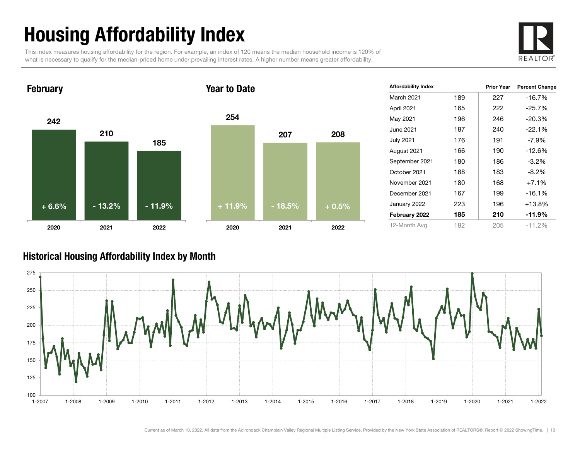## Housing Affordability Index

This index measures housing affordability for the region. For example, an index of 120 means the median household income is 120% of what is necessary to qualify for the median-priced home under prevailing interest rates. A higher number means greater affordability.





| <b>Affordability Index</b> |     | <b>Prior Year</b> | <b>Percent Change</b> |
|----------------------------|-----|-------------------|-----------------------|
| <b>March 2021</b>          | 189 | 227               | $-16.7%$              |
| April 2021                 | 165 | 222               | $-25.7%$              |
| May 2021                   | 196 | 246               | $-20.3%$              |
| June 2021                  | 187 | 240               | $-22.1%$              |
| <b>July 2021</b>           | 176 | 191               | $-7.9\%$              |
| August 2021                | 166 | 190               | $-12.6%$              |
| September 2021             | 180 | 186               | $-3.2\%$              |
| October 2021               | 168 | 183               | -8.2%                 |
| November 2021              | 180 | 168               | $+7.1%$               |
| December 2021              | 167 | 199               | $-16.1%$              |
| January 2022               | 223 | 196               | $+13.8%$              |
| February 2022              | 185 | 210               | $-11.9%$              |
| 12-Month Avg               | 182 | 205               | $-11.2%$              |

#### Historical Housing Affordability Index by Mont h

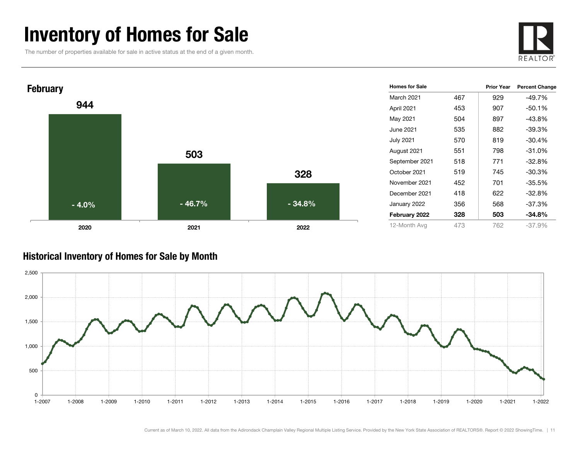### Inventory of Homes for Sale

The number of properties available for sale in active status at the end of a given month.





#### Historical Inventory of Homes for Sale by Month

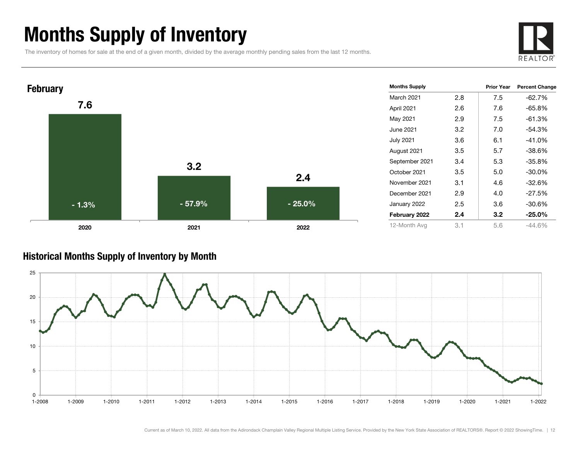### Months Supply of Inventory

The inventory of homes for sale at the end of a given month, divided by the average monthly pending sales from the last 12 months.





#### Historical Months Supply of Inventory by Month